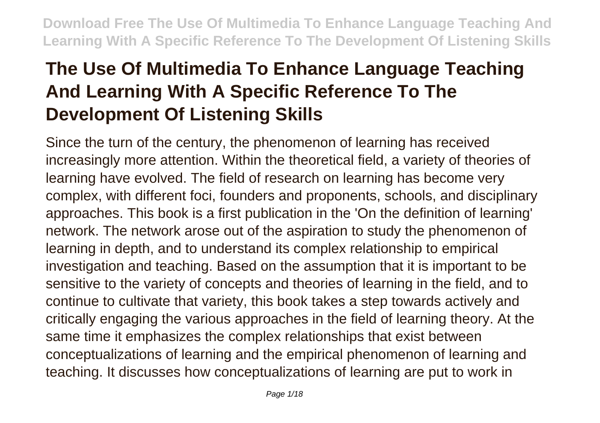# **The Use Of Multimedia To Enhance Language Teaching And Learning With A Specific Reference To The Development Of Listening Skills**

Since the turn of the century, the phenomenon of learning has received increasingly more attention. Within the theoretical field, a variety of theories of learning have evolved. The field of research on learning has become very complex, with different foci, founders and proponents, schools, and disciplinary approaches. This book is a first publication in the 'On the definition of learning' network. The network arose out of the aspiration to study the phenomenon of learning in depth, and to understand its complex relationship to empirical investigation and teaching. Based on the assumption that it is important to be sensitive to the variety of concepts and theories of learning in the field, and to continue to cultivate that variety, this book takes a step towards actively and critically engaging the various approaches in the field of learning theory. At the same time it emphasizes the complex relationships that exist between conceptualizations of learning and the empirical phenomenon of learning and teaching. It discusses how conceptualizations of learning are put to work in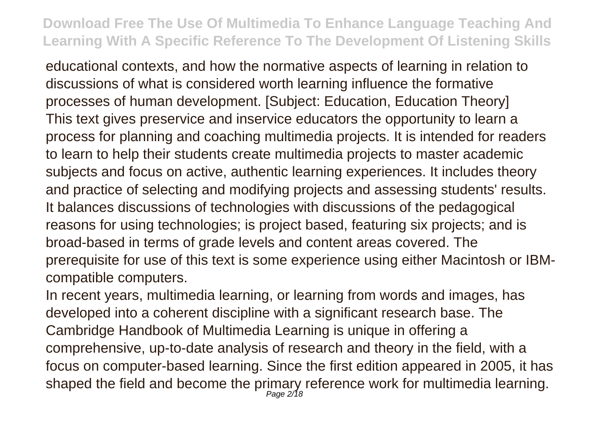educational contexts, and how the normative aspects of learning in relation to discussions of what is considered worth learning influence the formative processes of human development. [Subject: Education, Education Theory] This text gives preservice and inservice educators the opportunity to learn a process for planning and coaching multimedia projects. It is intended for readers to learn to help their students create multimedia projects to master academic subjects and focus on active, authentic learning experiences. It includes theory and practice of selecting and modifying projects and assessing students' results. It balances discussions of technologies with discussions of the pedagogical reasons for using technologies; is project based, featuring six projects; and is broad-based in terms of grade levels and content areas covered. The prerequisite for use of this text is some experience using either Macintosh or IBMcompatible computers.

In recent years, multimedia learning, or learning from words and images, has developed into a coherent discipline with a significant research base. The Cambridge Handbook of Multimedia Learning is unique in offering a comprehensive, up-to-date analysis of research and theory in the field, with a focus on computer-based learning. Since the first edition appeared in 2005, it has shaped the field and become the primary reference work for multimedia learning.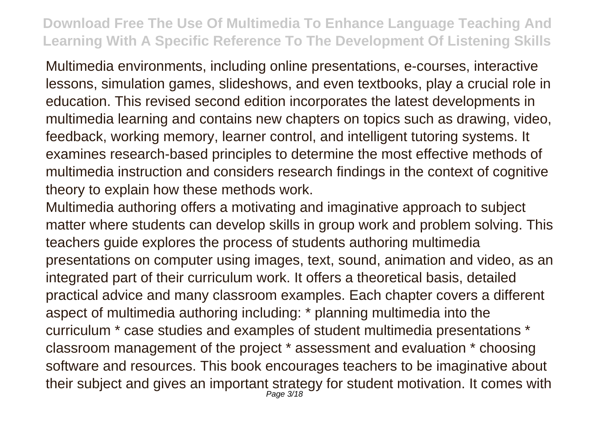Multimedia environments, including online presentations, e-courses, interactive lessons, simulation games, slideshows, and even textbooks, play a crucial role in education. This revised second edition incorporates the latest developments in multimedia learning and contains new chapters on topics such as drawing, video, feedback, working memory, learner control, and intelligent tutoring systems. It examines research-based principles to determine the most effective methods of multimedia instruction and considers research findings in the context of cognitive theory to explain how these methods work.

Multimedia authoring offers a motivating and imaginative approach to subject matter where students can develop skills in group work and problem solving. This teachers guide explores the process of students authoring multimedia presentations on computer using images, text, sound, animation and video, as an integrated part of their curriculum work. It offers a theoretical basis, detailed practical advice and many classroom examples. Each chapter covers a different aspect of multimedia authoring including: \* planning multimedia into the curriculum \* case studies and examples of student multimedia presentations \* classroom management of the project \* assessment and evaluation \* choosing software and resources. This book encourages teachers to be imaginative about their subject and gives an important strategy for student motivation. It comes with Page 3/18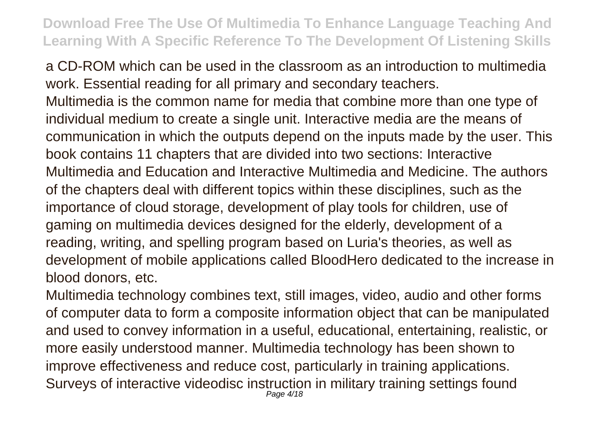a CD-ROM which can be used in the classroom as an introduction to multimedia work. Essential reading for all primary and secondary teachers.

Multimedia is the common name for media that combine more than one type of individual medium to create a single unit. Interactive media are the means of communication in which the outputs depend on the inputs made by the user. This book contains 11 chapters that are divided into two sections: Interactive Multimedia and Education and Interactive Multimedia and Medicine. The authors of the chapters deal with different topics within these disciplines, such as the importance of cloud storage, development of play tools for children, use of gaming on multimedia devices designed for the elderly, development of a reading, writing, and spelling program based on Luria's theories, as well as development of mobile applications called BloodHero dedicated to the increase in blood donors, etc.

Multimedia technology combines text, still images, video, audio and other forms of computer data to form a composite information object that can be manipulated and used to convey information in a useful, educational, entertaining, realistic, or more easily understood manner. Multimedia technology has been shown to improve effectiveness and reduce cost, particularly in training applications. Surveys of interactive videodisc instruction in military training settings found Page 4/18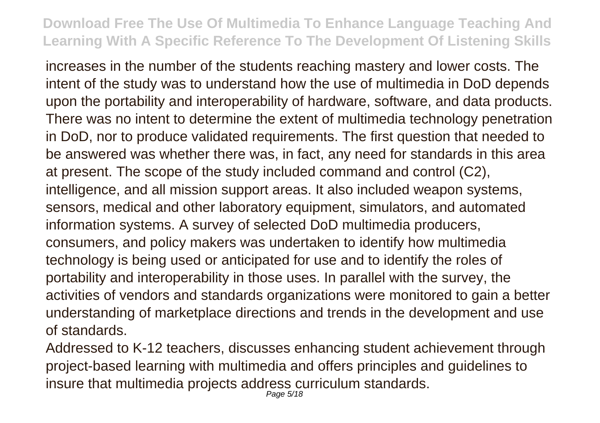increases in the number of the students reaching mastery and lower costs. The intent of the study was to understand how the use of multimedia in DoD depends upon the portability and interoperability of hardware, software, and data products. There was no intent to determine the extent of multimedia technology penetration in DoD, nor to produce validated requirements. The first question that needed to be answered was whether there was, in fact, any need for standards in this area at present. The scope of the study included command and control (C2), intelligence, and all mission support areas. It also included weapon systems, sensors, medical and other laboratory equipment, simulators, and automated information systems. A survey of selected DoD multimedia producers, consumers, and policy makers was undertaken to identify how multimedia technology is being used or anticipated for use and to identify the roles of portability and interoperability in those uses. In parallel with the survey, the activities of vendors and standards organizations were monitored to gain a better understanding of marketplace directions and trends in the development and use of standards.

Addressed to K-12 teachers, discusses enhancing student achievement through project-based learning with multimedia and offers principles and guidelines to insure that multimedia projects address curriculum standards.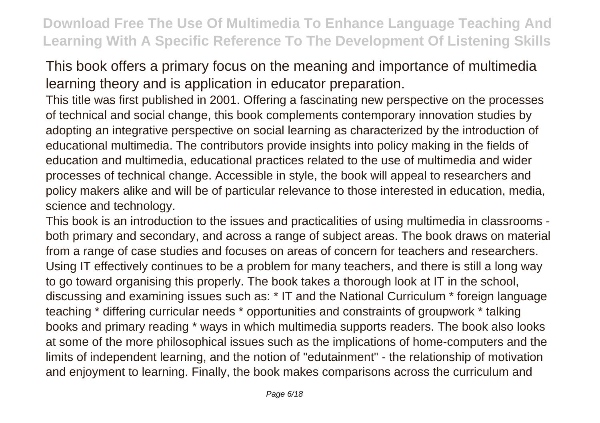This book offers a primary focus on the meaning and importance of multimedia learning theory and is application in educator preparation.

This title was first published in 2001. Offering a fascinating new perspective on the processes of technical and social change, this book complements contemporary innovation studies by adopting an integrative perspective on social learning as characterized by the introduction of educational multimedia. The contributors provide insights into policy making in the fields of education and multimedia, educational practices related to the use of multimedia and wider processes of technical change. Accessible in style, the book will appeal to researchers and policy makers alike and will be of particular relevance to those interested in education, media, science and technology.

This book is an introduction to the issues and practicalities of using multimedia in classrooms both primary and secondary, and across a range of subject areas. The book draws on material from a range of case studies and focuses on areas of concern for teachers and researchers. Using IT effectively continues to be a problem for many teachers, and there is still a long way to go toward organising this properly. The book takes a thorough look at IT in the school, discussing and examining issues such as: \* IT and the National Curriculum \* foreign language teaching \* differing curricular needs \* opportunities and constraints of groupwork \* talking books and primary reading \* ways in which multimedia supports readers. The book also looks at some of the more philosophical issues such as the implications of home-computers and the limits of independent learning, and the notion of "edutainment" - the relationship of motivation and enjoyment to learning. Finally, the book makes comparisons across the curriculum and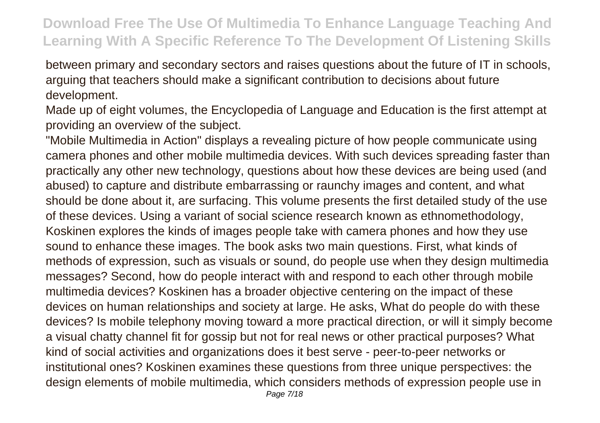between primary and secondary sectors and raises questions about the future of IT in schools, arguing that teachers should make a significant contribution to decisions about future development.

Made up of eight volumes, the Encyclopedia of Language and Education is the first attempt at providing an overview of the subject.

"Mobile Multimedia in Action" displays a revealing picture of how people communicate using camera phones and other mobile multimedia devices. With such devices spreading faster than practically any other new technology, questions about how these devices are being used (and abused) to capture and distribute embarrassing or raunchy images and content, and what should be done about it, are surfacing. This volume presents the first detailed study of the use of these devices. Using a variant of social science research known as ethnomethodology, Koskinen explores the kinds of images people take with camera phones and how they use sound to enhance these images. The book asks two main questions. First, what kinds of methods of expression, such as visuals or sound, do people use when they design multimedia messages? Second, how do people interact with and respond to each other through mobile multimedia devices? Koskinen has a broader objective centering on the impact of these devices on human relationships and society at large. He asks, What do people do with these devices? Is mobile telephony moving toward a more practical direction, or will it simply become a visual chatty channel fit for gossip but not for real news or other practical purposes? What kind of social activities and organizations does it best serve - peer-to-peer networks or institutional ones? Koskinen examines these questions from three unique perspectives: the design elements of mobile multimedia, which considers methods of expression people use in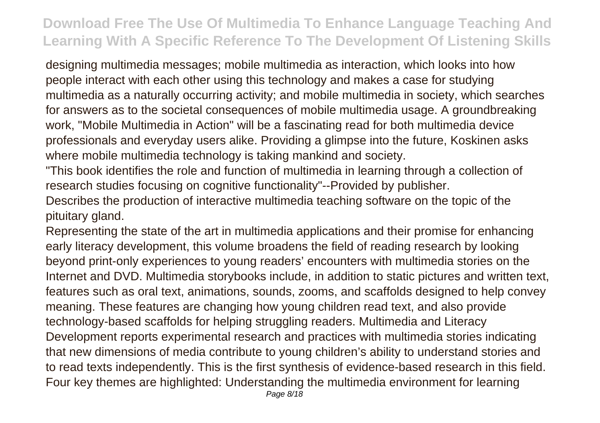designing multimedia messages; mobile multimedia as interaction, which looks into how people interact with each other using this technology and makes a case for studying multimedia as a naturally occurring activity; and mobile multimedia in society, which searches for answers as to the societal consequences of mobile multimedia usage. A groundbreaking work, "Mobile Multimedia in Action" will be a fascinating read for both multimedia device professionals and everyday users alike. Providing a glimpse into the future, Koskinen asks where mobile multimedia technology is taking mankind and society.

"This book identifies the role and function of multimedia in learning through a collection of research studies focusing on cognitive functionality"--Provided by publisher.

Describes the production of interactive multimedia teaching software on the topic of the pituitary gland.

Representing the state of the art in multimedia applications and their promise for enhancing early literacy development, this volume broadens the field of reading research by looking beyond print-only experiences to young readers' encounters with multimedia stories on the Internet and DVD. Multimedia storybooks include, in addition to static pictures and written text, features such as oral text, animations, sounds, zooms, and scaffolds designed to help convey meaning. These features are changing how young children read text, and also provide technology-based scaffolds for helping struggling readers. Multimedia and Literacy Development reports experimental research and practices with multimedia stories indicating that new dimensions of media contribute to young children's ability to understand stories and to read texts independently. This is the first synthesis of evidence-based research in this field. Four key themes are highlighted: Understanding the multimedia environment for learning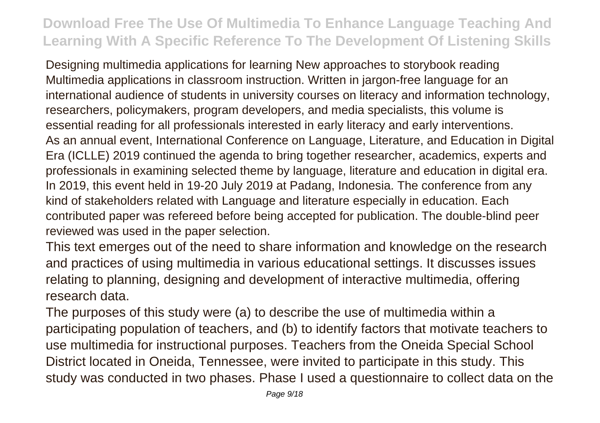Designing multimedia applications for learning New approaches to storybook reading Multimedia applications in classroom instruction. Written in jargon-free language for an international audience of students in university courses on literacy and information technology, researchers, policymakers, program developers, and media specialists, this volume is essential reading for all professionals interested in early literacy and early interventions. As an annual event, International Conference on Language, Literature, and Education in Digital Era (ICLLE) 2019 continued the agenda to bring together researcher, academics, experts and professionals in examining selected theme by language, literature and education in digital era. In 2019, this event held in 19-20 July 2019 at Padang, Indonesia. The conference from any kind of stakeholders related with Language and literature especially in education. Each contributed paper was refereed before being accepted for publication. The double-blind peer reviewed was used in the paper selection.

This text emerges out of the need to share information and knowledge on the research and practices of using multimedia in various educational settings. It discusses issues relating to planning, designing and development of interactive multimedia, offering research data.

The purposes of this study were (a) to describe the use of multimedia within a participating population of teachers, and (b) to identify factors that motivate teachers to use multimedia for instructional purposes. Teachers from the Oneida Special School District located in Oneida, Tennessee, were invited to participate in this study. This study was conducted in two phases. Phase I used a questionnaire to collect data on the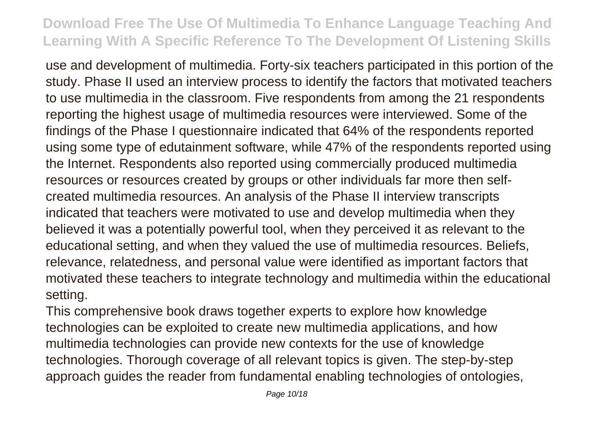use and development of multimedia. Forty-six teachers participated in this portion of the study. Phase II used an interview process to identify the factors that motivated teachers to use multimedia in the classroom. Five respondents from among the 21 respondents reporting the highest usage of multimedia resources were interviewed. Some of the findings of the Phase I questionnaire indicated that 64% of the respondents reported using some type of edutainment software, while 47% of the respondents reported using the Internet. Respondents also reported using commercially produced multimedia resources or resources created by groups or other individuals far more then selfcreated multimedia resources. An analysis of the Phase II interview transcripts indicated that teachers were motivated to use and develop multimedia when they believed it was a potentially powerful tool, when they perceived it as relevant to the educational setting, and when they valued the use of multimedia resources. Beliefs, relevance, relatedness, and personal value were identified as important factors that motivated these teachers to integrate technology and multimedia within the educational setting.

This comprehensive book draws together experts to explore how knowledge technologies can be exploited to create new multimedia applications, and how multimedia technologies can provide new contexts for the use of knowledge technologies. Thorough coverage of all relevant topics is given. The step-by-step approach guides the reader from fundamental enabling technologies of ontologies,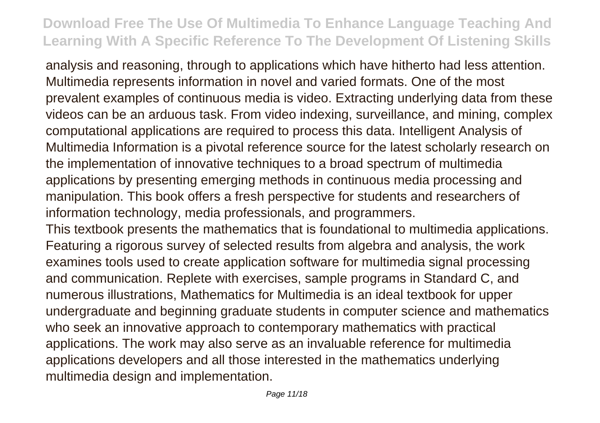analysis and reasoning, through to applications which have hitherto had less attention. Multimedia represents information in novel and varied formats. One of the most prevalent examples of continuous media is video. Extracting underlying data from these videos can be an arduous task. From video indexing, surveillance, and mining, complex computational applications are required to process this data. Intelligent Analysis of Multimedia Information is a pivotal reference source for the latest scholarly research on the implementation of innovative techniques to a broad spectrum of multimedia applications by presenting emerging methods in continuous media processing and manipulation. This book offers a fresh perspective for students and researchers of information technology, media professionals, and programmers.

This textbook presents the mathematics that is foundational to multimedia applications. Featuring a rigorous survey of selected results from algebra and analysis, the work examines tools used to create application software for multimedia signal processing and communication. Replete with exercises, sample programs in Standard C, and numerous illustrations, Mathematics for Multimedia is an ideal textbook for upper undergraduate and beginning graduate students in computer science and mathematics who seek an innovative approach to contemporary mathematics with practical applications. The work may also serve as an invaluable reference for multimedia applications developers and all those interested in the mathematics underlying multimedia design and implementation.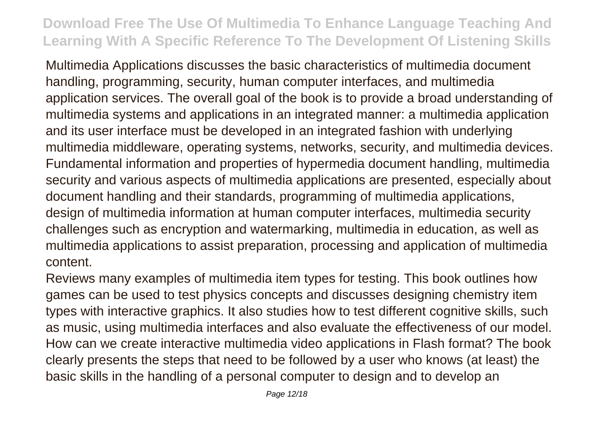Multimedia Applications discusses the basic characteristics of multimedia document handling, programming, security, human computer interfaces, and multimedia application services. The overall goal of the book is to provide a broad understanding of multimedia systems and applications in an integrated manner: a multimedia application and its user interface must be developed in an integrated fashion with underlying multimedia middleware, operating systems, networks, security, and multimedia devices. Fundamental information and properties of hypermedia document handling, multimedia security and various aspects of multimedia applications are presented, especially about document handling and their standards, programming of multimedia applications, design of multimedia information at human computer interfaces, multimedia security challenges such as encryption and watermarking, multimedia in education, as well as multimedia applications to assist preparation, processing and application of multimedia content.

Reviews many examples of multimedia item types for testing. This book outlines how games can be used to test physics concepts and discusses designing chemistry item types with interactive graphics. It also studies how to test different cognitive skills, such as music, using multimedia interfaces and also evaluate the effectiveness of our model. How can we create interactive multimedia video applications in Flash format? The book clearly presents the steps that need to be followed by a user who knows (at least) the basic skills in the handling of a personal computer to design and to develop an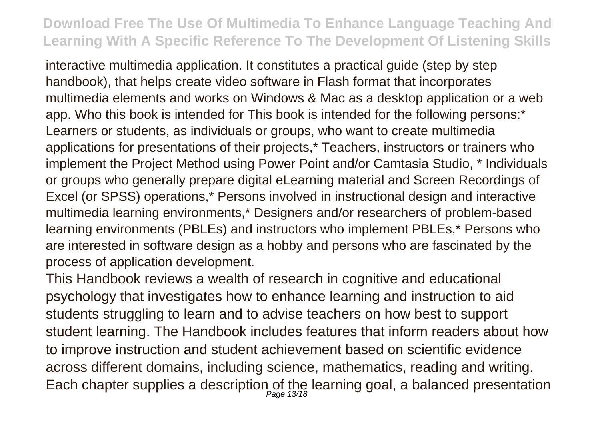interactive multimedia application. It constitutes a practical guide (step by step handbook), that helps create video software in Flash format that incorporates multimedia elements and works on Windows & Mac as a desktop application or a web app. Who this book is intended for This book is intended for the following persons:\* Learners or students, as individuals or groups, who want to create multimedia applications for presentations of their projects,\* Teachers, instructors or trainers who implement the Project Method using Power Point and/or Camtasia Studio, \* Individuals or groups who generally prepare digital eLearning material and Screen Recordings of Excel (or SPSS) operations,\* Persons involved in instructional design and interactive multimedia learning environments,\* Designers and/or researchers of problem-based learning environments (PBLEs) and instructors who implement PBLEs,\* Persons who are interested in software design as a hobby and persons who are fascinated by the process of application development.

This Handbook reviews a wealth of research in cognitive and educational psychology that investigates how to enhance learning and instruction to aid students struggling to learn and to advise teachers on how best to support student learning. The Handbook includes features that inform readers about how to improve instruction and student achievement based on scientific evidence across different domains, including science, mathematics, reading and writing. Each chapter supplies a description of the learning goal, a balanced presentation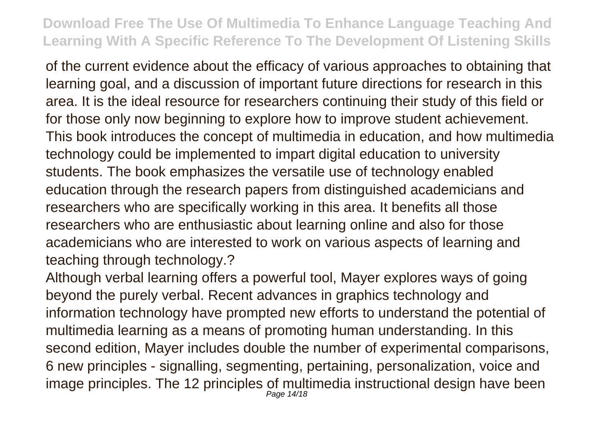of the current evidence about the efficacy of various approaches to obtaining that learning goal, and a discussion of important future directions for research in this area. It is the ideal resource for researchers continuing their study of this field or for those only now beginning to explore how to improve student achievement. This book introduces the concept of multimedia in education, and how multimedia technology could be implemented to impart digital education to university students. The book emphasizes the versatile use of technology enabled education through the research papers from distinguished academicians and researchers who are specifically working in this area. It benefits all those researchers who are enthusiastic about learning online and also for those academicians who are interested to work on various aspects of learning and teaching through technology.?

Although verbal learning offers a powerful tool, Mayer explores ways of going beyond the purely verbal. Recent advances in graphics technology and information technology have prompted new efforts to understand the potential of multimedia learning as a means of promoting human understanding. In this second edition, Mayer includes double the number of experimental comparisons, 6 new principles - signalling, segmenting, pertaining, personalization, voice and image principles. The 12 principles of multimedia instructional design have been Page 14/18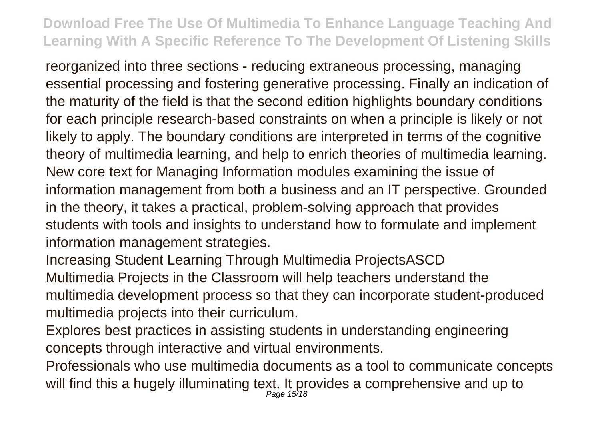reorganized into three sections - reducing extraneous processing, managing essential processing and fostering generative processing. Finally an indication of the maturity of the field is that the second edition highlights boundary conditions for each principle research-based constraints on when a principle is likely or not likely to apply. The boundary conditions are interpreted in terms of the cognitive theory of multimedia learning, and help to enrich theories of multimedia learning. New core text for Managing Information modules examining the issue of information management from both a business and an IT perspective. Grounded in the theory, it takes a practical, problem-solving approach that provides students with tools and insights to understand how to formulate and implement information management strategies.

Increasing Student Learning Through Multimedia ProjectsASCD Multimedia Projects in the Classroom will help teachers understand the multimedia development process so that they can incorporate student-produced multimedia projects into their curriculum.

Explores best practices in assisting students in understanding engineering concepts through interactive and virtual environments.

Professionals who use multimedia documents as a tool to communicate concepts will find this a hugely illuminating text. It provides a comprehensive and up to Page 15/18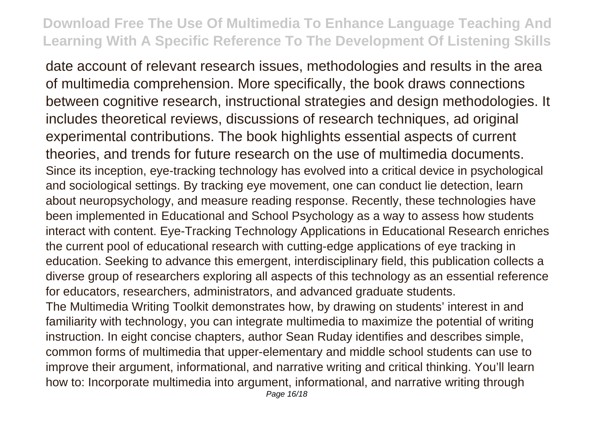date account of relevant research issues, methodologies and results in the area of multimedia comprehension. More specifically, the book draws connections between cognitive research, instructional strategies and design methodologies. It includes theoretical reviews, discussions of research techniques, ad original experimental contributions. The book highlights essential aspects of current theories, and trends for future research on the use of multimedia documents. Since its inception, eye-tracking technology has evolved into a critical device in psychological and sociological settings. By tracking eye movement, one can conduct lie detection, learn about neuropsychology, and measure reading response. Recently, these technologies have been implemented in Educational and School Psychology as a way to assess how students interact with content. Eye-Tracking Technology Applications in Educational Research enriches the current pool of educational research with cutting-edge applications of eye tracking in education. Seeking to advance this emergent, interdisciplinary field, this publication collects a diverse group of researchers exploring all aspects of this technology as an essential reference for educators, researchers, administrators, and advanced graduate students. The Multimedia Writing Toolkit demonstrates how, by drawing on students' interest in and familiarity with technology, you can integrate multimedia to maximize the potential of writing instruction. In eight concise chapters, author Sean Ruday identifies and describes simple, common forms of multimedia that upper-elementary and middle school students can use to improve their argument, informational, and narrative writing and critical thinking. You'll learn how to: Incorporate multimedia into argument, informational, and narrative writing through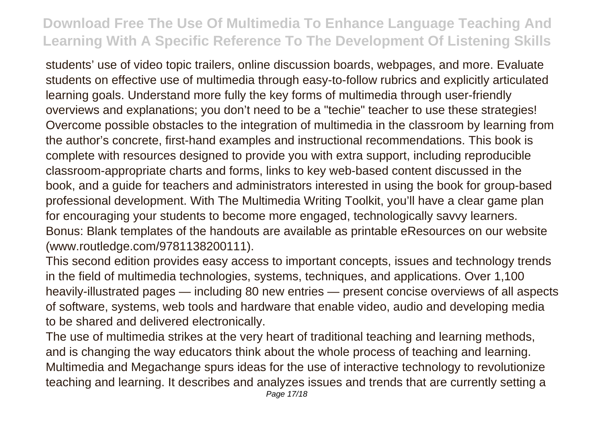students' use of video topic trailers, online discussion boards, webpages, and more. Evaluate students on effective use of multimedia through easy-to-follow rubrics and explicitly articulated learning goals. Understand more fully the key forms of multimedia through user-friendly overviews and explanations; you don't need to be a "techie" teacher to use these strategies! Overcome possible obstacles to the integration of multimedia in the classroom by learning from the author's concrete, first-hand examples and instructional recommendations. This book is complete with resources designed to provide you with extra support, including reproducible classroom-appropriate charts and forms, links to key web-based content discussed in the book, and a guide for teachers and administrators interested in using the book for group-based professional development. With The Multimedia Writing Toolkit, you'll have a clear game plan for encouraging your students to become more engaged, technologically savvy learners. Bonus: Blank templates of the handouts are available as printable eResources on our website (www.routledge.com/9781138200111).

This second edition provides easy access to important concepts, issues and technology trends in the field of multimedia technologies, systems, techniques, and applications. Over 1,100 heavily-illustrated pages — including 80 new entries — present concise overviews of all aspects of software, systems, web tools and hardware that enable video, audio and developing media to be shared and delivered electronically.

The use of multimedia strikes at the very heart of traditional teaching and learning methods, and is changing the way educators think about the whole process of teaching and learning. Multimedia and Megachange spurs ideas for the use of interactive technology to revolutionize teaching and learning. It describes and analyzes issues and trends that are currently setting a